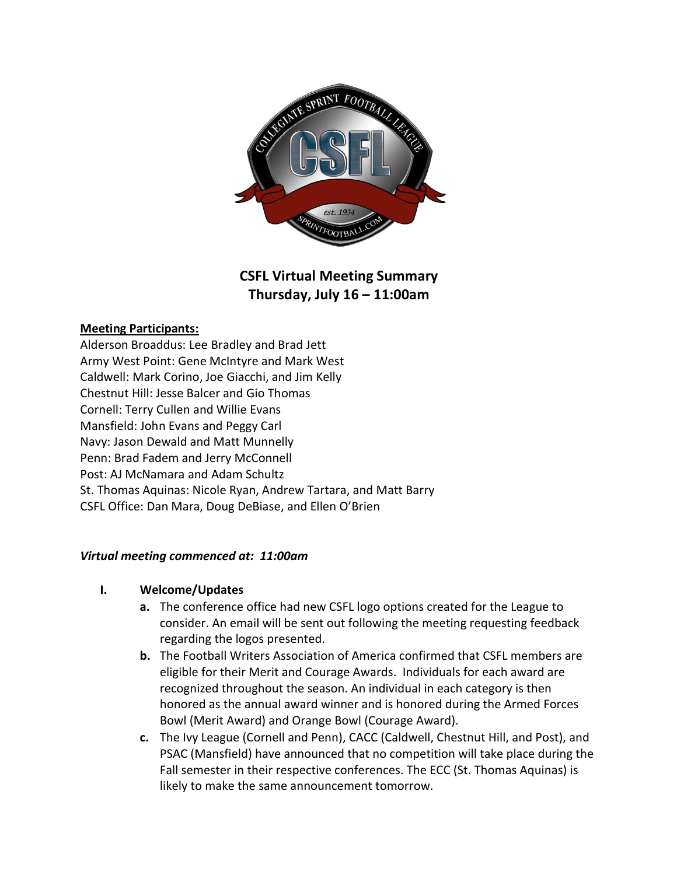

# **CSFL Virtual Meeting Summary Thursday, July 16 – 11:00am**

#### **Meeting Participants:**

Alderson Broaddus: Lee Bradley and Brad Jett Army West Point: Gene McIntyre and Mark West Caldwell: Mark Corino, Joe Giacchi, and Jim Kelly Chestnut Hill: Jesse Balcer and Gio Thomas Cornell: Terry Cullen and Willie Evans Mansfield: John Evans and Peggy Carl Navy: Jason Dewald and Matt Munnelly Penn: Brad Fadem and Jerry McConnell Post: AJ McNamara and Adam Schultz St. Thomas Aquinas: Nicole Ryan, Andrew Tartara, and Matt Barry CSFL Office: Dan Mara, Doug DeBiase, and Ellen O'Brien

# *Virtual meeting commenced at: 11:00am*

#### **I. Welcome/Updates**

- **a.** The conference office had new CSFL logo options created for the League to consider. An email will be sent out following the meeting requesting feedback regarding the logos presented.
- **b.** The Football Writers Association of America confirmed that CSFL members are eligible for their Merit and Courage Awards. Individuals for each award are recognized throughout the season. An individual in each category is then honored as the annual award winner and is honored during the Armed Forces Bowl (Merit Award) and Orange Bowl (Courage Award).
- **c.** The Ivy League (Cornell and Penn), CACC (Caldwell, Chestnut Hill, and Post), and PSAC (Mansfield) have announced that no competition will take place during the Fall semester in their respective conferences. The ECC (St. Thomas Aquinas) is likely to make the same announcement tomorrow.